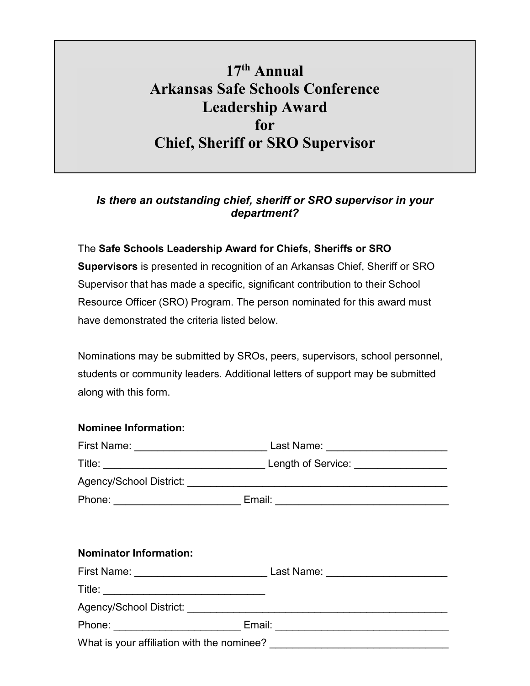## **17th Annual Arkansas Safe Schools Conference Leadership Award for Chief, Sheriff or SRO Supervisor**

## *Is there an outstanding chief, sheriff or SRO supervisor in your department?*

## The **Safe Schools Leadership Award for Chiefs, Sheriffs or SRO**

**Supervisors** is presented in recognition of an Arkansas Chief, Sheriff or SRO Supervisor that has made a specific, significant contribution to their School Resource Officer (SRO) Program. The person nominated for this award must have demonstrated the criteria listed below.

Nominations may be submitted by SROs, peers, supervisors, school personnel, students or community leaders. Additional letters of support may be submitted along with this form.

## **Nominee Information:** First Name: \_\_\_\_\_\_\_\_\_\_\_\_\_\_\_\_\_\_\_\_\_\_\_\_\_\_\_\_\_\_\_\_\_\_ Last Name: \_\_\_\_\_\_\_\_\_\_\_\_\_\_\_\_\_\_\_\_\_\_ Title: \_\_\_\_\_\_\_\_\_\_\_\_\_\_\_\_\_\_\_\_\_\_\_\_\_\_\_\_ Length of Service: \_\_\_\_\_\_\_\_\_\_\_\_\_\_\_\_ Agency/School District: \_\_\_\_\_\_\_\_\_\_\_\_\_\_\_\_\_\_\_\_\_\_\_\_\_\_\_\_\_\_\_\_\_\_\_\_\_\_\_\_\_\_\_\_\_ Phone: \_\_\_\_\_\_\_\_\_\_\_\_\_\_\_\_\_\_\_\_\_\_ Email: \_\_\_\_\_\_\_\_\_\_\_\_\_\_\_\_\_\_\_\_\_\_\_\_\_\_\_\_\_\_ **Nominator Information:** First Name: \_\_\_\_\_\_\_\_\_\_\_\_\_\_\_\_\_\_\_\_\_\_\_\_\_\_\_\_\_\_\_\_\_\_ Last Name: \_\_\_\_\_\_\_\_\_\_\_\_\_\_\_\_\_\_\_\_\_\_  $\blacksquare$  Title:  $\blacksquare$ Agency/School District: \_\_\_\_\_\_\_\_\_\_\_\_\_\_\_\_\_\_\_\_\_\_\_\_\_\_\_\_\_\_\_\_\_\_\_\_\_\_\_\_\_\_\_\_\_ Phone: \_\_\_\_\_\_\_\_\_\_\_\_\_\_\_\_\_\_\_\_\_\_\_\_\_\_\_\_\_\_\_\_ Email: \_\_\_\_\_\_\_\_\_\_\_\_\_\_\_\_\_\_\_\_\_\_\_\_\_\_\_\_\_\_\_\_\_\_ What is your affiliation with the nominee? <br>
<u>\_\_\_\_\_\_\_\_\_\_\_\_\_\_\_\_\_\_\_\_\_\_\_\_\_\_\_\_\_\_\_\_\_\_\_</u>